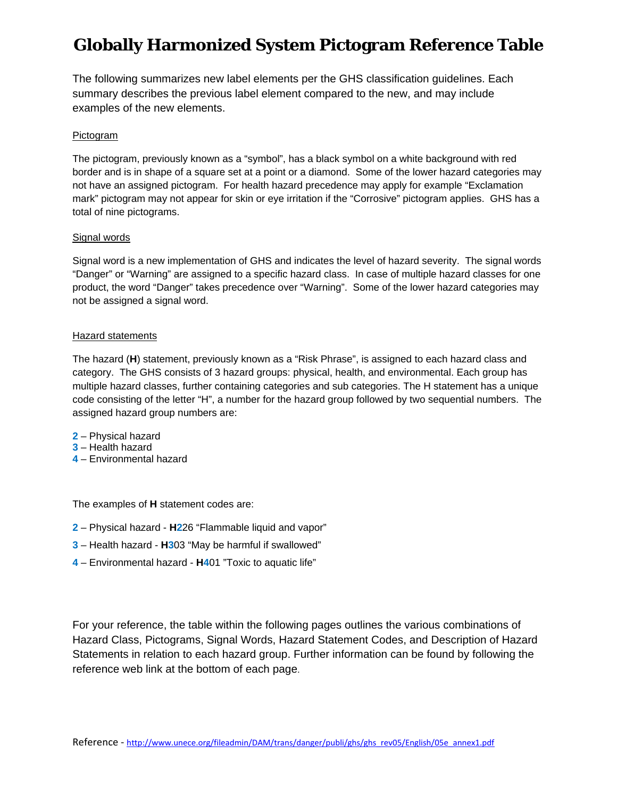The following summarizes new label elements per the GHS classification guidelines. Each summary describes the previous label element compared to the new, and may include examples of the new elements.

#### Pictogram

The pictogram, previously known as a "symbol", has a black symbol on a white background with red border and is in shape of a square set at a point or a diamond. Some of the lower hazard categories may not have an assigned pictogram. For health hazard precedence may apply for example "Exclamation mark" pictogram may not appear for skin or eye irritation if the "Corrosive" pictogram applies. GHS has a total of nine pictograms.

#### Signal words

Signal word is a new implementation of GHS and indicates the level of hazard severity. The signal words "Danger" or "Warning" are assigned to a specific hazard class. In case of multiple hazard classes for one product, the word "Danger" takes precedence over "Warning". Some of the lower hazard categories may not be assigned a signal word.

#### Hazard statements

The hazard (**H**) statement, previously known as a "Risk Phrase", is assigned to each hazard class and category. The GHS consists of 3 hazard groups: physical, health, and environmental. Each group has multiple hazard classes, further containing categories and sub categories. The H statement has a unique code consisting of the letter "H", a number for the hazard group followed by two sequential numbers. The assigned hazard group numbers are:

- **2** Physical hazard
- **3** Health hazard
- **4** Environmental hazard

The examples of **H** statement codes are:

- **2** Physical hazard **H2**26 "Flammable liquid and vapor"
- **3** Health hazard **H3**03 "May be harmful if swallowed"
- **4**  Environmental hazard **H4**01 "Toxic to aquatic life"

For your reference, the table within the following pages outlines the various combinations of Hazard Class, Pictograms, Signal Words, Hazard Statement Codes, and Description of Hazard Statements in relation to each hazard group. Further information can be found by following the reference web link at the bottom of each page.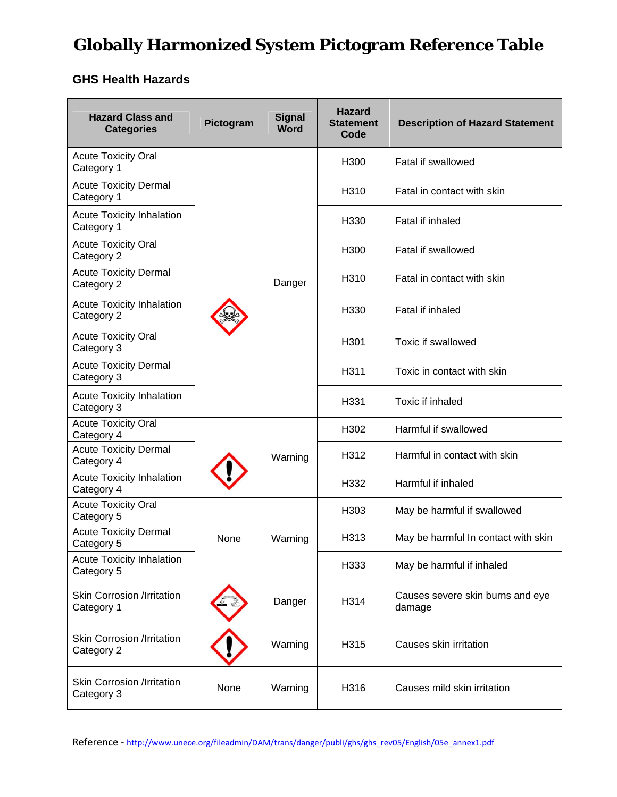### **GHS Health Hazards**

| <b>Hazard Class and</b><br><b>Categories</b>    | Pictogram | <b>Signal</b><br>Word | <b>Hazard</b><br><b>Statement</b><br>Code | <b>Description of Hazard Statement</b>     |
|-------------------------------------------------|-----------|-----------------------|-------------------------------------------|--------------------------------------------|
| <b>Acute Toxicity Oral</b><br>Category 1        |           |                       | H <sub>300</sub>                          | <b>Fatal if swallowed</b>                  |
| <b>Acute Toxicity Dermal</b><br>Category 1      |           |                       | H310                                      | Fatal in contact with skin                 |
| <b>Acute Toxicity Inhalation</b><br>Category 1  |           |                       | H <sub>330</sub>                          | Fatal if inhaled                           |
| <b>Acute Toxicity Oral</b><br>Category 2        |           |                       | H <sub>300</sub>                          | <b>Fatal if swallowed</b>                  |
| <b>Acute Toxicity Dermal</b><br>Category 2      |           | Danger                | H310                                      | Fatal in contact with skin                 |
| <b>Acute Toxicity Inhalation</b><br>Category 2  |           |                       | H330                                      | Fatal if inhaled                           |
| <b>Acute Toxicity Oral</b><br>Category 3        |           |                       | H301                                      | <b>Toxic if swallowed</b>                  |
| <b>Acute Toxicity Dermal</b><br>Category 3      |           |                       | H311                                      | Toxic in contact with skin                 |
| <b>Acute Toxicity Inhalation</b><br>Category 3  |           |                       | H331                                      | Toxic if inhaled                           |
| <b>Acute Toxicity Oral</b><br>Category 4        |           |                       | H302                                      | Harmful if swallowed                       |
| <b>Acute Toxicity Dermal</b><br>Category 4      |           | Warning               | H312                                      | Harmful in contact with skin               |
| <b>Acute Toxicity Inhalation</b><br>Category 4  |           |                       | H332                                      | Harmful if inhaled                         |
| <b>Acute Toxicity Oral</b><br>Category 5        |           |                       | H <sub>303</sub>                          | May be harmful if swallowed                |
| <b>Acute Toxicity Dermal</b><br>Category 5      | None      | Warning               | H313                                      | May be harmful In contact with skin        |
| <b>Acute Toxicity Inhalation</b><br>Category 5  |           |                       | H333                                      | May be harmful if inhaled                  |
| <b>Skin Corrosion /Irritation</b><br>Category 1 |           | Danger                | H314                                      | Causes severe skin burns and eye<br>damage |
| <b>Skin Corrosion /Irritation</b><br>Category 2 |           | Warning               | H315                                      | Causes skin irritation                     |
| <b>Skin Corrosion /Irritation</b><br>Category 3 | None      | Warning               | H316                                      | Causes mild skin irritation                |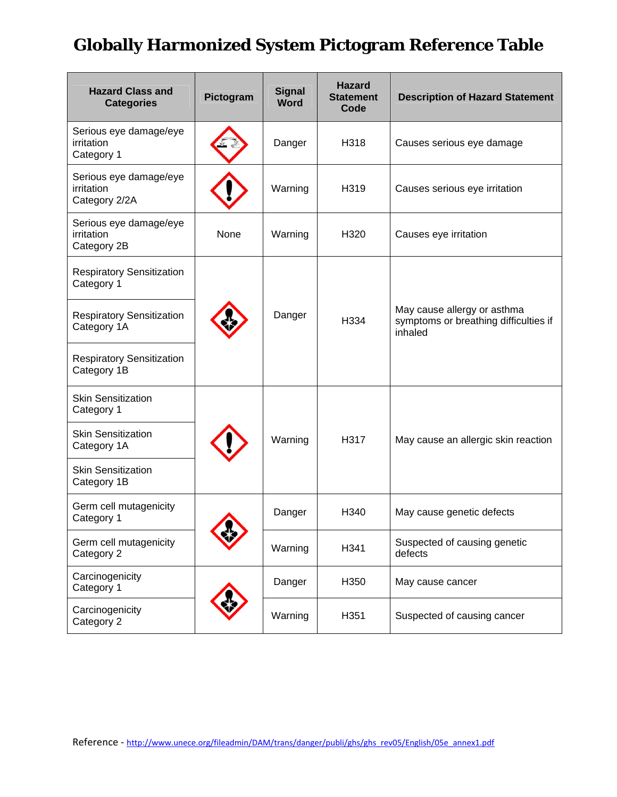| <b>Hazard Class and</b><br><b>Categories</b>          | Pictogram | <b>Signal</b><br><b>Word</b> | <b>Hazard</b><br><b>Statement</b><br>Code | <b>Description of Hazard Statement</b>                                          |
|-------------------------------------------------------|-----------|------------------------------|-------------------------------------------|---------------------------------------------------------------------------------|
| Serious eye damage/eye<br>irritation<br>Category 1    |           | Danger                       | H318                                      | Causes serious eye damage                                                       |
| Serious eye damage/eye<br>irritation<br>Category 2/2A |           | Warning                      | H319                                      | Causes serious eye irritation                                                   |
| Serious eye damage/eye<br>irritation<br>Category 2B   | None      | Warning                      | H320                                      | Causes eye irritation                                                           |
| <b>Respiratory Sensitization</b><br>Category 1        |           |                              |                                           |                                                                                 |
| <b>Respiratory Sensitization</b><br>Category 1A       |           | Danger                       | H334                                      | May cause allergy or asthma<br>symptoms or breathing difficulties if<br>inhaled |
| <b>Respiratory Sensitization</b><br>Category 1B       |           |                              |                                           |                                                                                 |
| <b>Skin Sensitization</b><br>Category 1               |           |                              |                                           |                                                                                 |
| <b>Skin Sensitization</b><br>Category 1A              |           | Warning                      | H317                                      | May cause an allergic skin reaction                                             |
| <b>Skin Sensitization</b><br>Category 1B              |           |                              |                                           |                                                                                 |
| Germ cell mutagenicity<br>Category 1                  |           | Danger                       | H <sub>340</sub>                          | May cause genetic defects                                                       |
| Germ cell mutagenicity<br>Category 2                  |           | Warning                      | H341                                      | Suspected of causing genetic<br>defects                                         |
| Carcinogenicity<br>Category 1                         |           | Danger                       | H350                                      | May cause cancer                                                                |
| Carcinogenicity<br>Category 2                         |           | Warning                      | H351                                      | Suspected of causing cancer                                                     |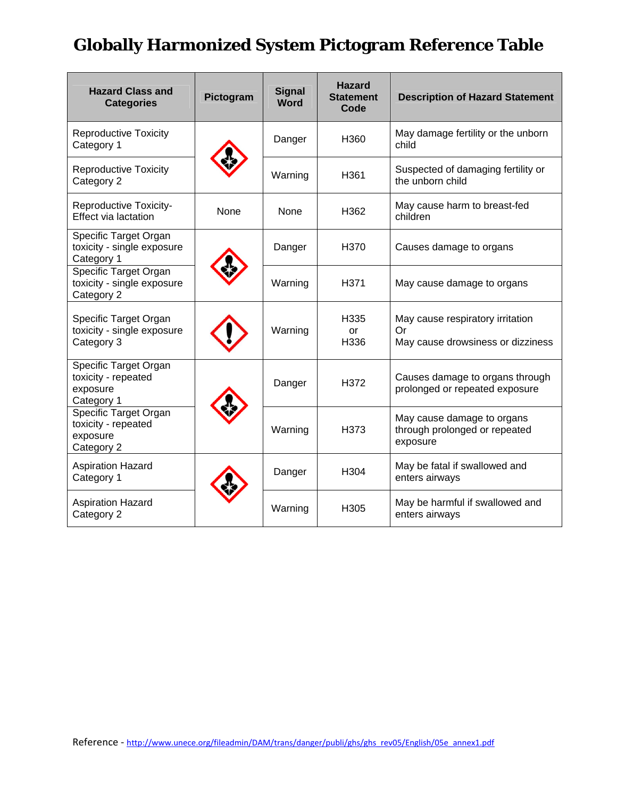| <b>Hazard Class and</b><br><b>Categories</b>                           | Pictogram | <b>Signal</b><br><b>Word</b> | <b>Hazard</b><br><b>Statement</b><br>Code | <b>Description of Hazard Statement</b>                                      |
|------------------------------------------------------------------------|-----------|------------------------------|-------------------------------------------|-----------------------------------------------------------------------------|
| <b>Reproductive Toxicity</b><br>Category 1                             |           | Danger                       | H360                                      | May damage fertility or the unborn<br>child                                 |
| <b>Reproductive Toxicity</b><br>Category 2                             |           | Warning                      | H361                                      | Suspected of damaging fertility or<br>the unborn child                      |
| <b>Reproductive Toxicity-</b><br><b>Effect via lactation</b>           | None      | None                         | H362                                      | May cause harm to breast-fed<br>children                                    |
| Specific Target Organ<br>toxicity - single exposure<br>Category 1      |           | Danger                       | H <sub>370</sub>                          | Causes damage to organs                                                     |
| Specific Target Organ<br>toxicity - single exposure<br>Category 2      |           | Warning                      | H371                                      | May cause damage to organs                                                  |
| Specific Target Organ<br>toxicity - single exposure<br>Category 3      |           | Warning                      | H335<br>or<br>H336                        | May cause respiratory irritation<br>Or<br>May cause drowsiness or dizziness |
| Specific Target Organ<br>toxicity - repeated<br>exposure<br>Category 1 |           | Danger                       | H372                                      | Causes damage to organs through<br>prolonged or repeated exposure           |
| Specific Target Organ<br>toxicity - repeated<br>exposure<br>Category 2 |           | Warning                      | H373                                      | May cause damage to organs<br>through prolonged or repeated<br>exposure     |
| <b>Aspiration Hazard</b><br>Category 1                                 |           | Danger                       | H304                                      | May be fatal if swallowed and<br>enters airways                             |
| <b>Aspiration Hazard</b><br>Category 2                                 |           | Warning                      | H305                                      | May be harmful if swallowed and<br>enters airways                           |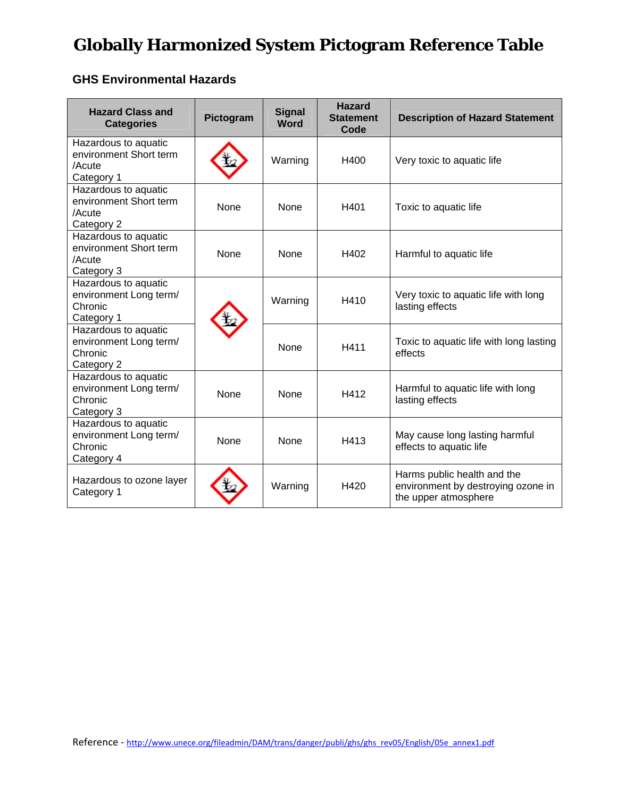### **GHS Environmental Hazards**

| <b>Hazard Class and</b><br><b>Categories</b>                            | Pictogram | <b>Signal</b><br><b>Word</b> | <b>Hazard</b><br><b>Statement</b><br>Code | <b>Description of Hazard Statement</b>                                                    |
|-------------------------------------------------------------------------|-----------|------------------------------|-------------------------------------------|-------------------------------------------------------------------------------------------|
| Hazardous to aquatic<br>environment Short term<br>/Acute<br>Category 1  |           | Warning                      | H400                                      | Very toxic to aquatic life                                                                |
| Hazardous to aquatic<br>environment Short term<br>/Acute<br>Category 2  | None      | <b>None</b>                  | H401                                      | Toxic to aquatic life                                                                     |
| Hazardous to aquatic<br>environment Short term<br>/Acute<br>Category 3  | None      | None                         | H402                                      | Harmful to aquatic life                                                                   |
| Hazardous to aquatic<br>environment Long term/<br>Chronic<br>Category 1 |           | Warning                      | H410                                      | Very toxic to aquatic life with long<br>lasting effects                                   |
| Hazardous to aquatic<br>environment Long term/<br>Chronic<br>Category 2 |           | <b>None</b>                  | H411                                      | Toxic to aquatic life with long lasting<br>effects                                        |
| Hazardous to aquatic<br>environment Long term/<br>Chronic<br>Category 3 | None      | None                         | H412                                      | Harmful to aquatic life with long<br>lasting effects                                      |
| Hazardous to aquatic<br>environment Long term/<br>Chronic<br>Category 4 | None      | None                         | H413                                      | May cause long lasting harmful<br>effects to aquatic life                                 |
| Hazardous to ozone layer<br>Category 1                                  |           | Warning                      | H420                                      | Harms public health and the<br>environment by destroying ozone in<br>the upper atmosphere |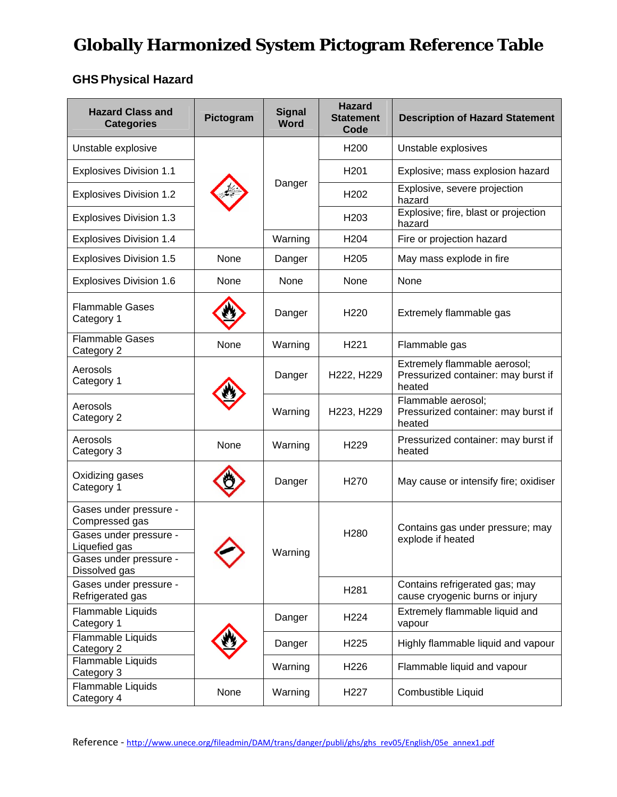### **GHSPhysical Hazard**

| <b>Hazard Class and</b><br><b>Categories</b>                                                                                   | Pictogram | <b>Signal</b><br><b>Word</b> | <b>Hazard</b><br><b>Statement</b><br>Code | <b>Description of Hazard Statement</b>                                        |
|--------------------------------------------------------------------------------------------------------------------------------|-----------|------------------------------|-------------------------------------------|-------------------------------------------------------------------------------|
| Unstable explosive                                                                                                             |           | Danger                       | H <sub>200</sub>                          | Unstable explosives                                                           |
| <b>Explosives Division 1.1</b>                                                                                                 |           |                              | H <sub>201</sub>                          | Explosive; mass explosion hazard                                              |
| <b>Explosives Division 1.2</b>                                                                                                 |           |                              | H <sub>202</sub>                          | Explosive, severe projection<br>hazard                                        |
| <b>Explosives Division 1.3</b>                                                                                                 |           |                              | H <sub>203</sub>                          | Explosive; fire, blast or projection<br>hazard                                |
| <b>Explosives Division 1.4</b>                                                                                                 |           | Warning                      | H <sub>204</sub>                          | Fire or projection hazard                                                     |
| <b>Explosives Division 1.5</b>                                                                                                 | None      | Danger                       | H <sub>205</sub>                          | May mass explode in fire                                                      |
| <b>Explosives Division 1.6</b>                                                                                                 | None      | None                         | None                                      | None                                                                          |
| <b>Flammable Gases</b><br>Category 1                                                                                           |           | Danger                       | H <sub>220</sub>                          | Extremely flammable gas                                                       |
| Flammable Gases<br>Category 2                                                                                                  | None      | Warning                      | H <sub>221</sub>                          | Flammable gas                                                                 |
| Aerosols<br>Category 1                                                                                                         |           | Danger                       | H222, H229                                | Extremely flammable aerosol;<br>Pressurized container: may burst if<br>heated |
| Aerosols<br>Category 2                                                                                                         |           | Warning                      | H223, H229                                | Flammable aerosol;<br>Pressurized container: may burst if<br>heated           |
| Aerosols<br>Category 3                                                                                                         | None      | Warning                      | H <sub>229</sub>                          | Pressurized container: may burst if<br>heated                                 |
| Oxidizing gases<br>Category 1                                                                                                  |           | Danger                       | H <sub>270</sub>                          | May cause or intensify fire; oxidiser                                         |
| Gases under pressure -<br>Compressed gas<br>Gases under pressure -<br>Liquefied gas<br>Gases under pressure -<br>Dissolved gas |           | Warning                      | H280                                      | Contains gas under pressure; may<br>explode if heated                         |
| Gases under pressure -<br>Refrigerated gas                                                                                     |           |                              | H281                                      | Contains refrigerated gas; may<br>cause cryogenic burns or injury             |
| Flammable Liquids<br>Category 1                                                                                                |           | Danger                       | H <sub>224</sub>                          | Extremely flammable liquid and<br>vapour                                      |
| Flammable Liquids<br>Category 2                                                                                                |           | Danger                       | H <sub>225</sub>                          | Highly flammable liquid and vapour                                            |
| Flammable Liquids<br>Category 3                                                                                                |           | Warning                      | H <sub>226</sub>                          | Flammable liquid and vapour                                                   |
| Flammable Liquids<br>Category 4                                                                                                | None      | Warning                      | H <sub>227</sub>                          | Combustible Liquid                                                            |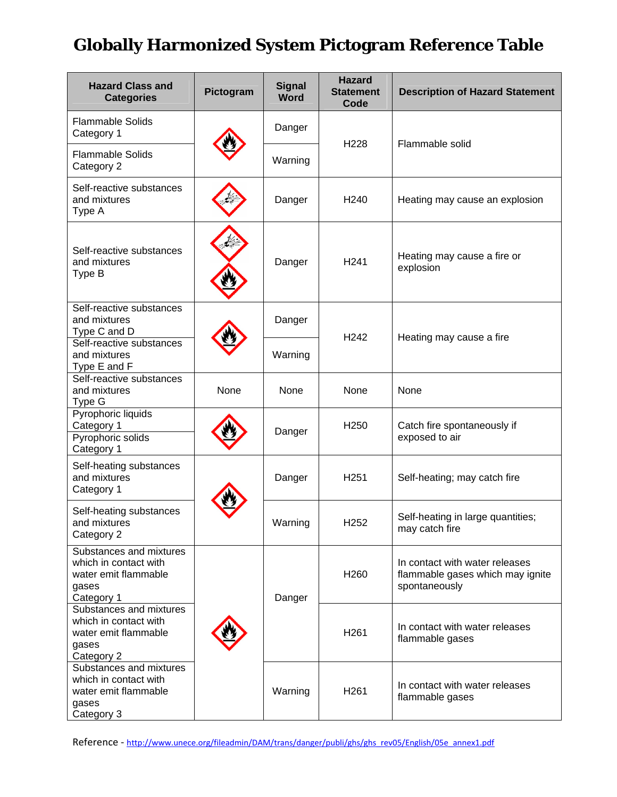| <b>Hazard Class and</b><br><b>Categories</b>                                                    | Pictogram | <b>Signal</b><br><b>Word</b> | <b>Hazard</b><br><b>Statement</b><br>Code | <b>Description of Hazard Statement</b>                                              |
|-------------------------------------------------------------------------------------------------|-----------|------------------------------|-------------------------------------------|-------------------------------------------------------------------------------------|
| <b>Flammable Solids</b><br>Category 1                                                           |           | Danger                       | H <sub>228</sub>                          | Flammable solid                                                                     |
| <b>Flammable Solids</b><br>Category 2                                                           |           | Warning                      |                                           |                                                                                     |
| Self-reactive substances<br>and mixtures<br>Type A                                              |           | Danger                       | H <sub>240</sub>                          | Heating may cause an explosion                                                      |
| Self-reactive substances<br>and mixtures<br>Type B                                              |           | Danger                       | H <sub>241</sub>                          | Heating may cause a fire or<br>explosion                                            |
| Self-reactive substances<br>and mixtures<br>Type C and D                                        |           | Danger                       | H <sub>242</sub>                          | Heating may cause a fire                                                            |
| Self-reactive substances<br>and mixtures<br>Type E and F                                        |           | Warning                      |                                           |                                                                                     |
| Self-reactive substances<br>and mixtures<br>Type G                                              | None      | None                         | None                                      | None                                                                                |
| Pyrophoric liquids<br>Category 1<br>Pyrophoric solids<br>Category 1                             |           | Danger                       | H <sub>250</sub>                          | Catch fire spontaneously if<br>exposed to air                                       |
| Self-heating substances<br>and mixtures<br>Category 1                                           |           | Danger                       | H <sub>251</sub>                          | Self-heating; may catch fire                                                        |
| Self-heating substances<br>and mixtures<br>Category 2                                           |           | Warning                      | H <sub>252</sub>                          | Self-heating in large quantities;<br>may catch fire                                 |
| Substances and mixtures<br>which in contact with<br>water emit flammable<br>gases<br>Category 1 |           | Danger                       | H <sub>260</sub>                          | In contact with water releases<br>flammable gases which may ignite<br>spontaneously |
| Substances and mixtures<br>which in contact with<br>water emit flammable<br>gases<br>Category 2 |           |                              | H <sub>261</sub>                          | In contact with water releases<br>flammable gases                                   |
| Substances and mixtures<br>which in contact with<br>water emit flammable<br>gases<br>Category 3 |           | Warning                      | H <sub>261</sub>                          | In contact with water releases<br>flammable gases                                   |

Reference - http://www.unece.org/fileadmin/DAM/trans/danger/publi/ghs/ghs\_rev05/English/05e\_annex1.pdf